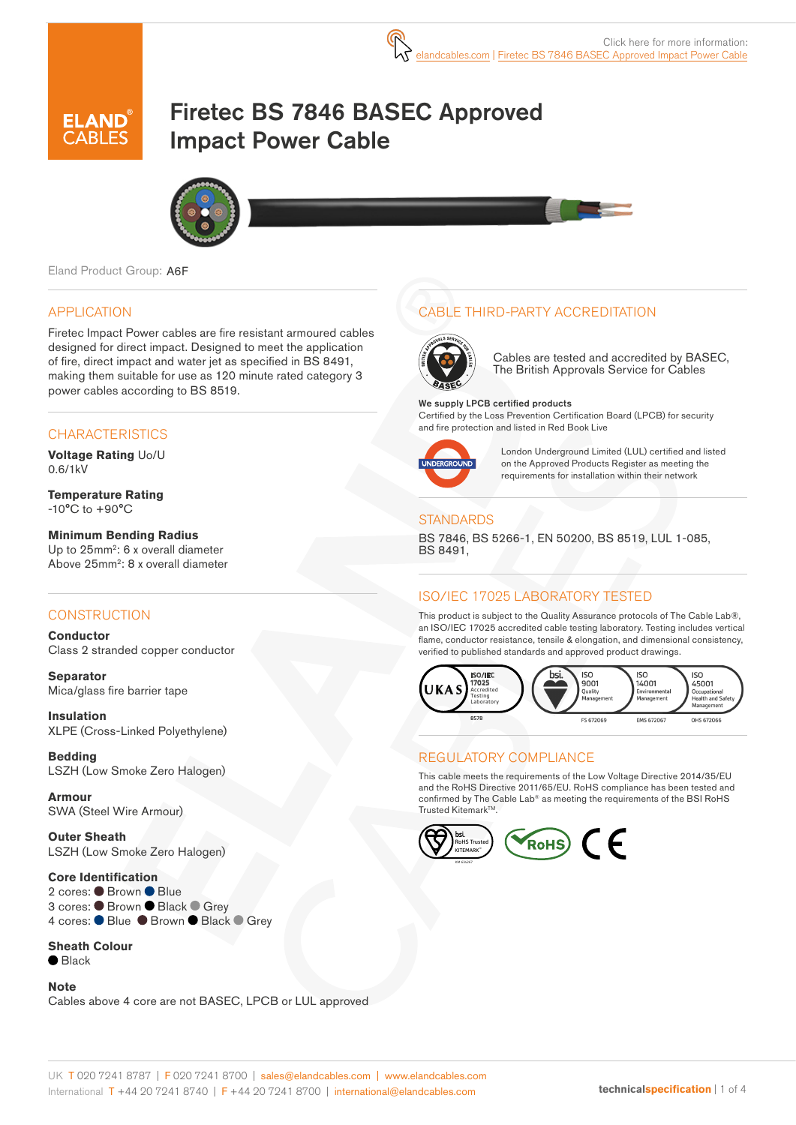

# Firetec BS 7846 BASEC Approved Impact Power Cable



Eland Product Group: A6F

#### APPLICATION

Firetec Impact Power cables are fire resistant armoured cables designed for direct impact. Designed to meet the application of fire, direct impact and water jet as specified in BS 8491, making them suitable for use as 120 minute rated category 3 power cables according to BS 8519.

### **CHARACTERISTICS**

**Voltage Rating** Uo/U 0.6/1kV

**Temperature Rating** -10°C to +90°C

**Minimum Bending Radius**  Up to 25mm<sup>2</sup>: 6 x overall diameter Above 25mm2: 8 x overall diameter

### **CONSTRUCTION**

**Conductor** Class 2 stranded copper conductor

**Separator** Mica/glass fire barrier tape

**Insulation** XLPE (Cross-Linked Polyethylene)

**Bedding** LSZH (Low Smoke Zero Halogen)

**Armour** SWA (Steel Wire Armour)

**Outer Sheath** LSZH (Low Smoke Zero Halogen)

#### **Core Identification**

2 cores: Brown Blue 3 cores: C Brown C Black C Grey 4 cores: ● Blue ● Brown ● Black ● Grey

#### **Sheath Colour**

 $\bullet$  Black

#### **Note**

Cables above 4 core are not BASEC, LPCB or LUL approved

## CABLE THIRD-PARTY ACCREDITATION



Cables are tested and accredited by BASEC, The British Approvals Service for Cables

We supply LPCB certified products Certified by the Loss Prevention Certification Board (LPCB) for security and fire protection and listed in Red Book Live



London Underground Limited (LUL) certified and listed on the Approved Products Register as meeting the requirements for installation within their network

### **STANDARDS**

BS 7846, BS 5266-1, EN 50200, BS 8519, LUL 1-085, BS 8491,

### ISO/IEC 17025 LABORATORY TESTED

This product is subject to the Quality Assurance protocols of The Cable Lab®, an ISO/IEC 17025 accredited cable testing laboratory. Testing includes vertical flame, conductor resistance, tensile & elongation, and dimensional consistency, verified to published standards and approved product drawings.



## REGULATORY COMPLIANCE

This cable meets the requirements of the Low Voltage Directive 2014/35/EU and the RoHS Directive 2011/65/EU. RoHS compliance has been tested and confirmed by The Cable Lab® as meeting the requirements of the BSI RoHS Trusted Kitemark™.

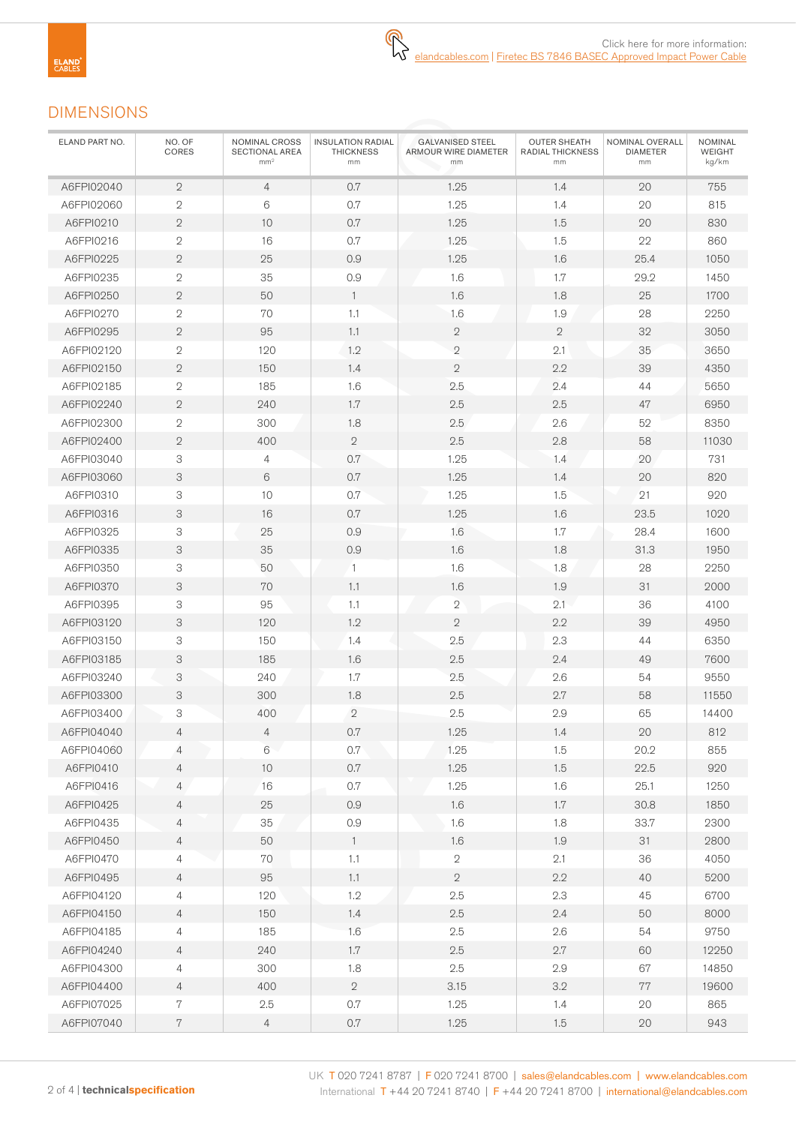# DIMENSIONS

| ELAND PART NO. | NO. OF<br>CORES | NOMINAL CROSS<br>SECTIONAL AREA<br>mm <sup>2</sup> | <b>INSULATION RADIAL</b><br><b>THICKNESS</b><br>mm | <b>GALVANISED STEEL</b><br>ARMOUR WIRE DIAMETER<br>mm | <b>OUTER SHEATH</b><br>RADIAL THICKNESS<br>mm | NOMINAL OVERALL<br><b>DIAMETER</b><br>mm | NOMINAL<br>WEIGHT<br>kg/km |
|----------------|-----------------|----------------------------------------------------|----------------------------------------------------|-------------------------------------------------------|-----------------------------------------------|------------------------------------------|----------------------------|
| A6FPI02040     | $\mathbf{2}$    | $\overline{4}$                                     | 0.7                                                | 1.25                                                  | 1.4                                           | 20                                       | 755                        |
| A6FPI02060     | $\sqrt{2}$      | $\,6\,$                                            | 0.7                                                | 1.25                                                  | 1.4                                           | 20                                       | 815                        |
| A6FPI0210      | $\sqrt{2}$      | 10                                                 | 0.7                                                | 1.25                                                  | 1.5                                           | 20                                       | 830                        |
| A6FPI0216      | $\sqrt{2}$      | 16                                                 | 0.7                                                | 1.25                                                  | 1.5                                           | 22                                       | 860                        |
| A6FPI0225      | $\overline{2}$  | 25                                                 | 0.9                                                | 1.25                                                  | 1.6                                           | 25.4                                     | 1050                       |
| A6FPI0235      | $\sqrt{2}$      | 35                                                 | 0.9                                                | 1.6                                                   | 1.7                                           | 29.2                                     | 1450                       |
| A6FPI0250      | $\mathbf{2}$    | 50                                                 | $\overline{1}$                                     | 1.6                                                   | 1.8                                           | 25                                       | 1700                       |
| A6FPI0270      | $\overline{2}$  | 70                                                 | 1.1                                                | 1.6                                                   | 1.9                                           | 28                                       | 2250                       |
| A6FPI0295      | $\sqrt{2}$      | 95                                                 | 1.1                                                | $\sqrt{2}$                                            | $\mathbf{2}$                                  | 32                                       | 3050                       |
| A6FPI02120     | $\sqrt{2}$      | 120                                                | 1.2                                                | $\mathbf 2$                                           | 2.1                                           | 35                                       | 3650                       |
| A6FPI02150     | $\mathbf{2}$    | 150                                                | 1.4                                                | $\sqrt{2}$                                            | 2.2                                           | 39                                       | 4350                       |
| A6FPI02185     | $\sqrt{2}$      | 185                                                | 1.6                                                | 2.5                                                   | 2.4                                           | 44                                       | 5650                       |
| A6FPI02240     | $\mathbf{2}$    | 240                                                | 1.7                                                | 2.5                                                   | 2.5                                           | 47                                       | 6950                       |
| A6FPI02300     | $\sqrt{2}$      | 300                                                | 1.8                                                | 2.5                                                   | 2.6                                           | 52                                       | 8350                       |
| A6FPI02400     | $\mathbf{2}$    | 400                                                | $\sqrt{2}$                                         | 2.5                                                   | 2.8                                           | 58                                       | 11030                      |
| A6FPI03040     | 3               | $\overline{4}$                                     | 0.7                                                | 1.25                                                  | 1.4                                           | 20                                       | 731                        |
| A6FPI03060     | 3               | $\,6\,$                                            | 0.7                                                | 1.25                                                  | 1.4                                           | 20                                       | 820                        |
| A6FPI0310      | 3               | 10                                                 | 0.7                                                | 1.25                                                  | 1.5                                           | 21                                       | 920                        |
| A6FPI0316      | 3               | 16                                                 | 0.7                                                | 1.25                                                  | 1.6                                           | 23.5                                     | 1020                       |
| A6FPI0325      | 3               | 25                                                 | 0.9                                                | 1.6                                                   | $1.7\,$                                       | 28.4                                     | 1600                       |
| A6FPI0335      | 3               | 35                                                 | 0.9                                                | 1.6                                                   | 1.8                                           | 31.3                                     | 1950                       |
| A6FPI0350      | 3               | 50                                                 | $\mathbf{1}$                                       | 1.6                                                   | 1.8                                           | 28                                       | 2250                       |
| A6FPI0370      | 3               | 70                                                 | 1.1                                                | 1.6                                                   | 1.9                                           | 31                                       | 2000                       |
| A6FPI0395      | 3               | 95                                                 | 1.1                                                | $\overline{2}$                                        | 2.1                                           | 36                                       | 4100                       |
| A6FPI03120     | 3               | 120                                                | 1.2                                                | $\mathbf{2}$                                          | 2.2                                           | 39                                       | 4950                       |
| A6FPI03150     | 3               | 150                                                | 1.4                                                | 2.5                                                   | 2.3                                           | 44                                       | 6350                       |
| A6FPI03185     | 3               | 185                                                | 1.6                                                | 2.5                                                   | 2.4                                           | 49                                       | 7600                       |
| A6FPI03240     | 3               | 240                                                | 1.7                                                | 2.5                                                   | 2.6                                           | 54                                       | 9550                       |
| A6FPI03300     | 3               | 300                                                | 1.8                                                | 2.5                                                   | 2.7                                           | 58                                       | 11550                      |
| A6FPI03400     | 3               | 400                                                | $\sqrt{2}$                                         | 2.5                                                   | 2.9                                           | 65                                       | 14400                      |
| A6FPI04040     | 4               | 4                                                  | 0.7                                                | 1.25                                                  | 1.4                                           | 20                                       | 812                        |
| A6FPI04060     | $\overline{4}$  | 6                                                  | 0.7                                                | 1.25                                                  | 1.5                                           | 20.2                                     | 855                        |
| A6FPI0410      | $\overline{4}$  | $10$                                               | $0.7\,$                                            | 1.25                                                  | 1.5                                           | 22.5                                     | 920                        |
| A6FPI0416      | $\overline{4}$  | 16                                                 | 0.7                                                | 1.25                                                  | 1.6                                           | 25.1                                     | 1250                       |
| A6FPI0425      | $\overline{4}$  | 25                                                 | $0.9\,$                                            | 1.6                                                   | 1.7                                           | 30.8                                     | 1850                       |
| A6FPI0435      | 4               | 35                                                 | 0.9                                                | 1.6                                                   | 1.8                                           | 33.7                                     | 2300                       |
| A6FPI0450      | $\overline{4}$  | 50                                                 | $\mathbf{1}$                                       | 1.6                                                   | 1.9                                           | 31                                       | 2800                       |
| A6FPI0470      | $\overline{4}$  | 70                                                 | 1.1                                                | $\mathbf{2}$                                          | 2.1                                           | 36                                       | 4050                       |
| A6FPI0495      | $\overline{4}$  | 95                                                 | 1.1                                                | $\mathbf{2}$                                          | 2.2                                           | 40                                       | 5200                       |
| A6FPI04120     | $\overline{4}$  | 120                                                | 1.2                                                | 2.5                                                   | 2.3                                           | 45                                       | 6700                       |
| A6FPI04150     | $\overline{4}$  | 150                                                | 1.4                                                | $2.5\,$                                               | 2.4                                           | 50                                       | 8000                       |
| A6FPI04185     | 4               | 185                                                | 1.6                                                | 2.5                                                   | 2.6                                           | 54                                       | 9750                       |
| A6FPI04240     | $\overline{4}$  | 240                                                | 1.7                                                | 2.5                                                   | 2.7                                           | 60                                       | 12250                      |
| A6FPI04300     | $\overline{4}$  | 300                                                | 1.8                                                | $2.5\,$                                               | 2.9                                           | 67                                       | 14850                      |
| A6FPI04400     | $\overline{4}$  | 400                                                | $\overline{2}$                                     | 3.15                                                  | 3.2                                           | 77                                       | 19600                      |
| A6FPI07025     | $7\phantom{.}$  | 2.5                                                | $0.7\,$                                            | 1.25                                                  | 1.4                                           | 20                                       | 865                        |
| A6FPI07040     | $7\,$           | $\overline{4}$                                     | $0.7\,$                                            | 1.25                                                  | 1.5                                           | $20\,$                                   | 943                        |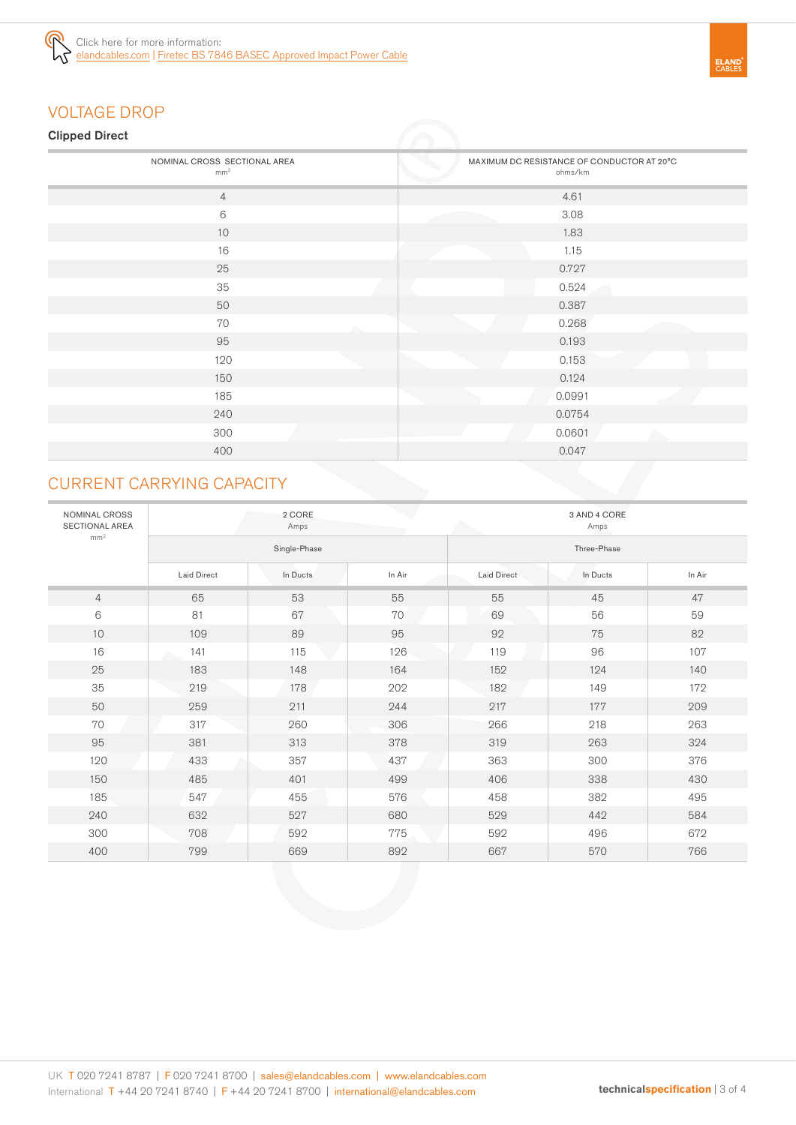

# VOLTAGE DROP

## Clipped Direct

| - -                                             |                                                       |
|-------------------------------------------------|-------------------------------------------------------|
| NOMINAL CROSS SECTIONAL AREA<br>mm <sup>2</sup> | MAXIMUM DC RESISTANCE OF CONDUCTOR AT 20°C<br>ohms/km |
| $\overline{4}$                                  | 4.61                                                  |
| $6\,$                                           | 3.08                                                  |
| 10                                              | 1.83                                                  |
| 16                                              | 1.15                                                  |
| 25                                              | 0.727                                                 |
| 35                                              | 0.524                                                 |
| 50                                              | 0.387                                                 |
| 70                                              | 0.268                                                 |
| 95                                              | 0.193                                                 |
| 120                                             | 0.153                                                 |
| 150                                             | 0.124                                                 |
| 185                                             | 0.0991                                                |
| 240                                             | 0.0754                                                |
| 300                                             | 0.0601<br>A.                                          |
| 400                                             | 0.047                                                 |
|                                                 |                                                       |

# CURRENT CARRYING CAPACITY

| NOMINAL CROSS<br><b>SECTIONAL AREA</b> |                    | 2 CORE<br>Amps |        |                    | 3 AND 4 CORE<br>Amps |        |
|----------------------------------------|--------------------|----------------|--------|--------------------|----------------------|--------|
| mm <sup>2</sup>                        | Single-Phase       |                |        | Three-Phase        |                      |        |
|                                        | <b>Laid Direct</b> | In Ducts       | In Air | <b>Laid Direct</b> | In Ducts             | In Air |
| $\overline{4}$                         | 65                 | 53             | 55     | 55                 | 45                   | 47     |
| 6                                      | 81                 | 67             | 70     | 69                 | 56                   | 59     |
| 10                                     | 109                | 89             | 95     | 92                 | 75                   | 82     |
| 16                                     | 141                | 115            | 126    | 119                | 96                   | 107    |
| 25                                     | 183                | 148            | 164    | 152                | 124                  | 140    |
| 35                                     | 219                | 178            | 202    | 182                | 149                  | 172    |
| 50                                     | 259                | 211            | 244    | 217                | 177                  | 209    |
| 70                                     | 317                | 260            | 306    | 266                | 218                  | 263    |
| 95                                     | 381                | 313            | 378    | 319                | 263                  | 324    |
| 120                                    | 433                | 357            | 437    | 363                | 300                  | 376    |
| 150                                    | 485                | 401            | 499    | 406                | 338                  | 430    |
| 185                                    | 547                | 455            | 576    | 458                | 382                  | 495    |
| 240                                    | 632                | 527            | 680    | 529                | 442                  | 584    |
| 300                                    | 708                | 592            | 775    | 592                | 496                  | 672    |
| 400                                    | 799                | 669            | 892    | 667                | 570                  | 766    |